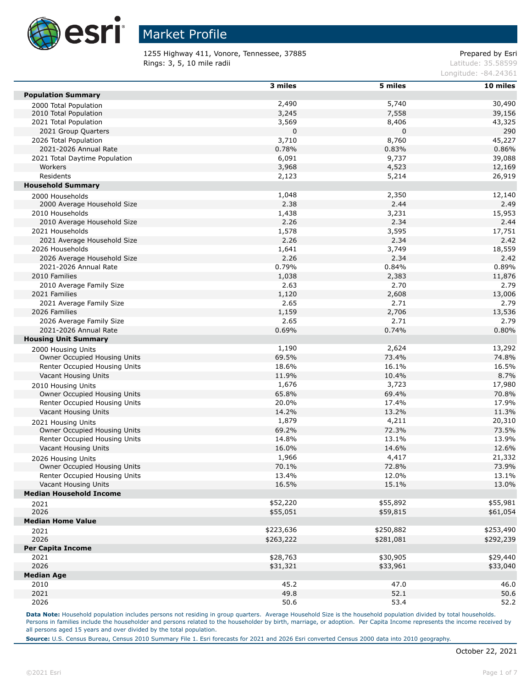

1255 Highway 411, Vonore, Tennessee, 37885 extending the prepared by Esri Rings: 3, 5, 10 mile radii and the contract of the contract of the contract of the contract of the contract of the contract of the contract of the contract of the contract of the contract of the contract of the contract of

Longitude: -84.24361

|                                     | $3$ miles | 5 miles   | $10$ miles |
|-------------------------------------|-----------|-----------|------------|
| <b>Population Summary</b>           |           |           |            |
|                                     | 2,490     | 5,740     | 30,490     |
| 2000 Total Population               |           |           |            |
| 2010 Total Population               | 3,245     | 7,558     | 39,156     |
| 2021 Total Population               | 3,569     | 8,406     | 43,325     |
| 2021 Group Quarters                 | 0         | 0         | 290        |
| 2026 Total Population               | 3,710     | 8,760     | 45,227     |
| 2021-2026 Annual Rate               | 0.78%     | 0.83%     | 0.86%      |
| 2021 Total Daytime Population       | 6,091     | 9,737     | 39,088     |
| Workers                             | 3,968     | 4,523     | 12,169     |
| Residents                           | 2,123     | 5,214     | 26,919     |
| <b>Household Summary</b>            |           |           |            |
| 2000 Households                     | 1,048     | 2,350     | 12,140     |
| 2000 Average Household Size         | 2.38      | 2.44      | 2.49       |
| 2010 Households                     | 1,438     | 3,231     | 15,953     |
| 2010 Average Household Size         | 2.26      | 2.34      | 2.44       |
|                                     |           |           |            |
| 2021 Households                     | 1,578     | 3,595     | 17,751     |
| 2021 Average Household Size         | 2.26      | 2.34      | 2.42       |
| 2026 Households                     | 1,641     | 3,749     | 18,559     |
| 2026 Average Household Size         | 2.26      | 2.34      | 2.42       |
| 2021-2026 Annual Rate               | 0.79%     | 0.84%     | 0.89%      |
| 2010 Families                       | 1,038     | 2,383     | 11,876     |
| 2010 Average Family Size            | 2.63      | 2.70      | 2.79       |
| 2021 Families                       | 1,120     | 2,608     | 13,006     |
| 2021 Average Family Size            | 2.65      | 2.71      | 2.79       |
| 2026 Families                       | 1,159     | 2,706     | 13,536     |
| 2026 Average Family Size            | 2.65      | 2.71      | 2.79       |
| 2021-2026 Annual Rate               | 0.69%     | 0.74%     | 0.80%      |
|                                     |           |           |            |
| <b>Housing Unit Summary</b>         |           |           |            |
| 2000 Housing Units                  | 1,190     | 2,624     | 13,292     |
| Owner Occupied Housing Units        | 69.5%     | 73.4%     | 74.8%      |
| Renter Occupied Housing Units       | 18.6%     | 16.1%     | 16.5%      |
| Vacant Housing Units                | 11.9%     | 10.4%     | 8.7%       |
| 2010 Housing Units                  | 1,676     | 3,723     | 17,980     |
| Owner Occupied Housing Units        | 65.8%     | 69.4%     | 70.8%      |
| Renter Occupied Housing Units       | 20.0%     | 17.4%     | 17.9%      |
| Vacant Housing Units                | 14.2%     | 13.2%     | 11.3%      |
| 2021 Housing Units                  | 1,879     | 4,211     | 20,310     |
| Owner Occupied Housing Units        | 69.2%     | 72.3%     | 73.5%      |
| Renter Occupied Housing Units       | 14.8%     | 13.1%     |            |
|                                     |           |           | 13.9%      |
| Vacant Housing Units                | 16.0%     | 14.6%     | 12.6%      |
| 2026 Housing Units                  | 1,966     | 4,417     | 21,332     |
| <b>Owner Occupied Housing Units</b> | 70.1%     | 72.8%     | 73.9%      |
| Renter Occupied Housing Units       | 13.4%     | 12.0%     | 13.1%      |
| Vacant Housing Units                | 16.5%     | 15.1%     | 13.0%      |
| <b>Median Household Income</b>      |           |           |            |
| 2021                                | \$52,220  | \$55,892  | \$55,981   |
| 2026                                | \$55,051  | \$59,815  | \$61,054   |
| <b>Median Home Value</b>            |           |           |            |
|                                     |           | \$250,882 | \$253,490  |
| 2021                                | \$223,636 |           |            |
| 2026                                | \$263,222 | \$281,081 | \$292,239  |
| <b>Per Capita Income</b>            |           |           |            |
| 2021                                | \$28,763  | \$30,905  | \$29,440   |
| 2026                                | \$31,321  | \$33,961  | \$33,040   |
| <b>Median Age</b>                   |           |           |            |
| 2010                                | 45.2      | 47.0      | 46.0       |
| 2021                                | 49.8      | 52.1      | 50.6       |
| 2026                                | 50.6      | 53.4      | 52.2       |
|                                     |           |           |            |

Data Note: Household population includes persons not residing in group quarters. Average Household Size is the household population divided by total households. Persons in families include the householder and persons related to the householder by birth, marriage, or adoption. Per Capita Income represents the income received by all persons aged 15 years and over divided by the total population.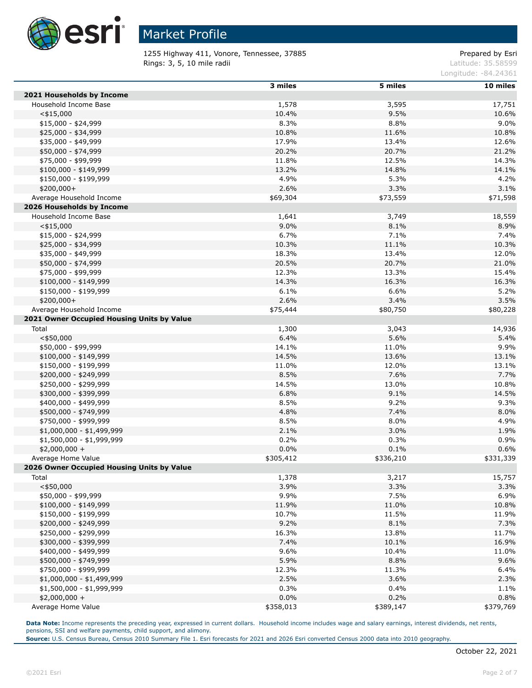

1255 Highway 411, Vonore, Tennessee, 37885 extending the prepared by Esri Rings: 3, 5, 10 mile radii and the contract of the contract of the contract of the contract of the contract of the contract of the contract of the contract of the contract of the contract of the contract of the contract of

Longitude: -84.24361

|                                            | 3 miles   | 5 miles   | 10 miles  |
|--------------------------------------------|-----------|-----------|-----------|
| 2021 Households by Income                  |           |           |           |
| Household Income Base                      | 1,578     | 3,595     | 17,751    |
| $<$ \$15,000                               | 10.4%     | 9.5%      | 10.6%     |
| $$15,000 - $24,999$                        | 8.3%      | 8.8%      | 9.0%      |
| \$25,000 - \$34,999                        | 10.8%     | 11.6%     | 10.8%     |
| \$35,000 - \$49,999                        | 17.9%     | 13.4%     | 12.6%     |
| \$50,000 - \$74,999                        | 20.2%     | 20.7%     | 21.2%     |
| \$75,000 - \$99,999                        | 11.8%     | 12.5%     | 14.3%     |
| $$100,000 - $149,999$                      | 13.2%     | 14.8%     | 14.1%     |
| \$150,000 - \$199,999                      | 4.9%      | 5.3%      | 4.2%      |
| $$200,000+$                                | 2.6%      | 3.3%      | 3.1%      |
| Average Household Income                   | \$69,304  | \$73,559  | \$71,598  |
| 2026 Households by Income                  |           |           |           |
| Household Income Base                      | 1,641     | 3,749     | 18,559    |
| $<$ \$15,000                               | 9.0%      | 8.1%      | 8.9%      |
| $$15,000 - $24,999$                        | 6.7%      | 7.1%      | 7.4%      |
| \$25,000 - \$34,999                        | 10.3%     | 11.1%     | 10.3%     |
| \$35,000 - \$49,999                        | 18.3%     | 13.4%     | 12.0%     |
| \$50,000 - \$74,999                        | 20.5%     | 20.7%     | 21.0%     |
| \$75,000 - \$99,999                        | 12.3%     | 13.3%     | 15.4%     |
| $$100,000 - $149,999$                      | 14.3%     | 16.3%     | 16.3%     |
| \$150,000 - \$199,999                      | 6.1%      | 6.6%      | 5.2%      |
| $$200,000+$                                | 2.6%      | 3.4%      | 3.5%      |
| Average Household Income                   | \$75,444  | \$80,750  | \$80,228  |
| 2021 Owner Occupied Housing Units by Value |           |           |           |
| Total                                      | 1,300     | 3,043     | 14,936    |
| $<$ \$50,000                               | 6.4%      | 5.6%      | 5.4%      |
| \$50,000 - \$99,999                        | 14.1%     | 11.0%     | 9.9%      |
| $$100,000 - $149,999$                      | 14.5%     | 13.6%     | 13.1%     |
| \$150,000 - \$199,999                      | 11.0%     | 12.0%     | 13.1%     |
| \$200,000 - \$249,999                      | 8.5%      | 7.6%      | 7.7%      |
| \$250,000 - \$299,999                      | 14.5%     | 13.0%     | 10.8%     |
| \$300,000 - \$399,999                      | 6.8%      | 9.1%      | 14.5%     |
| \$400,000 - \$499,999                      | 8.5%      | 9.2%      | 9.3%      |
| \$500,000 - \$749,999                      | 4.8%      | 7.4%      | 8.0%      |
| \$750,000 - \$999,999                      | 8.5%      | 8.0%      | 4.9%      |
| \$1,000,000 - \$1,499,999                  | 2.1%      | 3.0%      | 1.9%      |
| \$1,500,000 - \$1,999,999                  | 0.2%      | 0.3%      | 0.9%      |
| $$2,000,000 +$                             | 0.0%      | 0.1%      | 0.6%      |
| Average Home Value                         | \$305,412 | \$336,210 | \$331,339 |
| 2026 Owner Occupied Housing Units by Value |           |           |           |
| Total                                      | 1,378     | 3,217     | 15,757    |
| $<$ \$50,000                               | 3.9%      | 3.3%      | 3.3%      |
| \$50,000 - \$99,999                        | 9.9%      | 7.5%      | 6.9%      |
| \$100,000 - \$149,999                      | 11.9%     | 11.0%     | 10.8%     |
| \$150,000 - \$199,999                      | 10.7%     | 11.5%     | 11.9%     |
| \$200,000 - \$249,999                      | 9.2%      | 8.1%      | 7.3%      |
| \$250,000 - \$299,999                      | 16.3%     | 13.8%     | 11.7%     |
| \$300,000 - \$399,999                      | 7.4%      | 10.1%     | 16.9%     |
| \$400,000 - \$499,999                      | 9.6%      | 10.4%     | 11.0%     |
| \$500,000 - \$749,999                      | 5.9%      | 8.8%      | 9.6%      |
| \$750,000 - \$999,999                      | 12.3%     | 11.3%     | 6.4%      |
| \$1,000,000 - \$1,499,999                  | 2.5%      | 3.6%      | 2.3%      |
| \$1,500,000 - \$1,999,999                  | 0.3%      | 0.4%      | 1.1%      |
| $$2,000,000 +$                             | 0.0%      | 0.2%      | 0.8%      |
| Average Home Value                         | \$358,013 | \$389,147 | \$379,769 |

Data Note: Income represents the preceding year, expressed in current dollars. Household income includes wage and salary earnings, interest dividends, net rents, pensions, SSI and welfare payments, child support, and alimony.

**Source:** U.S. Census Bureau, Census 2010 Summary File 1. Esri forecasts for 2021 and 2026 Esri converted Census 2000 data into 2010 geography.

Г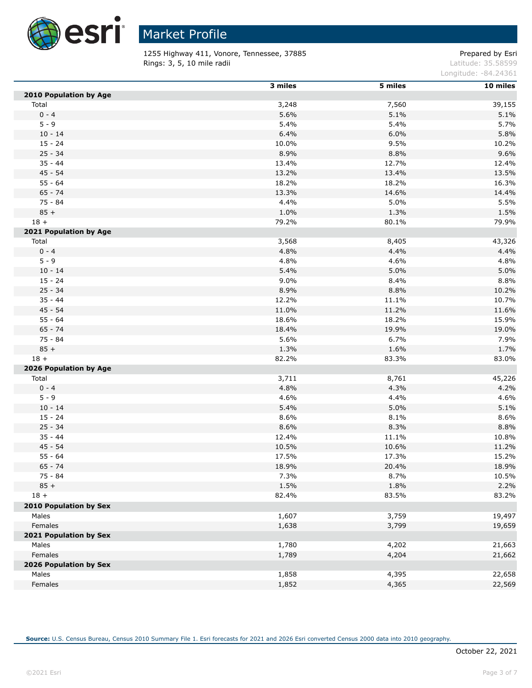

 $\overline{a}$ 

# Market Profile

1255 Highway 411, Vonore, Tennessee, 37885 extending the prepared by Esri Rings: 3, 5, 10 mile radii and the contract of the contract of the contract of the contract of the contract of the contract of the contract of the contract of the contract of the contract of the contract of the contract of

Longitude: -84.24361

|                        | 3 miles | 5 miles | 10 miles |
|------------------------|---------|---------|----------|
| 2010 Population by Age |         |         |          |
| Total                  | 3,248   | 7,560   | 39,155   |
| $0 - 4$                | 5.6%    | 5.1%    | 5.1%     |
| $5 - 9$                | 5.4%    | 5.4%    | 5.7%     |
| $10 - 14$              | 6.4%    | 6.0%    | 5.8%     |
| $15 - 24$              | 10.0%   | 9.5%    | 10.2%    |
| $25 - 34$              | 8.9%    | 8.8%    | 9.6%     |
| $35 - 44$              | 13.4%   | 12.7%   | 12.4%    |
| $45 - 54$              | 13.2%   | 13.4%   | 13.5%    |
| $55 - 64$              | 18.2%   | 18.2%   | 16.3%    |
| $65 - 74$              | 13.3%   | 14.6%   | 14.4%    |
| 75 - 84                | 4.4%    | 5.0%    | 5.5%     |
| $85 +$                 | 1.0%    | 1.3%    | 1.5%     |
| $18 +$                 | 79.2%   | 80.1%   | 79.9%    |
| 2021 Population by Age |         |         |          |
| Total                  | 3,568   | 8,405   | 43,326   |
| $0 - 4$                | 4.8%    | 4.4%    | 4.4%     |
| $5 - 9$                | 4.8%    | 4.6%    | 4.8%     |
| $10 - 14$              | 5.4%    | 5.0%    | 5.0%     |
| $15 - 24$              | 9.0%    | 8.4%    | 8.8%     |
| $25 - 34$              | 8.9%    | 8.8%    | 10.2%    |
| $35 - 44$              | 12.2%   | 11.1%   | 10.7%    |
| $45 - 54$              | 11.0%   | 11.2%   | 11.6%    |
| $55 - 64$              | 18.6%   | 18.2%   | 15.9%    |
| $65 - 74$              | 18.4%   | 19.9%   | 19.0%    |
| 75 - 84                | 5.6%    | 6.7%    | 7.9%     |
| $85 +$                 | 1.3%    | 1.6%    | 1.7%     |
| $18 +$                 | 82.2%   | 83.3%   | 83.0%    |
| 2026 Population by Age |         |         |          |
| Total                  | 3,711   | 8,761   | 45,226   |
| $0 - 4$                | 4.8%    | 4.3%    | 4.2%     |
| $5 - 9$                | 4.6%    | 4.4%    | 4.6%     |
| $10 - 14$              | 5.4%    | 5.0%    | 5.1%     |
| $15 - 24$              | 8.6%    | 8.1%    | 8.6%     |
| $25 - 34$              | 8.6%    | 8.3%    | 8.8%     |
| $35 - 44$              | 12.4%   | 11.1%   | 10.8%    |
| $45 - 54$              | 10.5%   | 10.6%   | 11.2%    |
| $55 - 64$              | 17.5%   | 17.3%   | 15.2%    |
| $65 - 74$              | 18.9%   | 20.4%   | 18.9%    |
| 75 - 84                | 7.3%    | 8.7%    | 10.5%    |
| $85 +$                 | 1.5%    | 1.8%    | 2.2%     |
| $18 +$                 | 82.4%   | 83.5%   | 83.2%    |
| 2010 Population by Sex |         |         |          |
| Males                  | 1,607   | 3,759   | 19,497   |
| Females                | 1,638   | 3,799   | 19,659   |
| 2021 Population by Sex |         |         |          |
| Males                  | 1,780   | 4,202   | 21,663   |
| Females                | 1,789   | 4,204   | 21,662   |
| 2026 Population by Sex |         |         |          |
| Males                  | 1,858   | 4,395   | 22,658   |
| Females                | 1,852   | 4,365   | 22,569   |
|                        |         |         |          |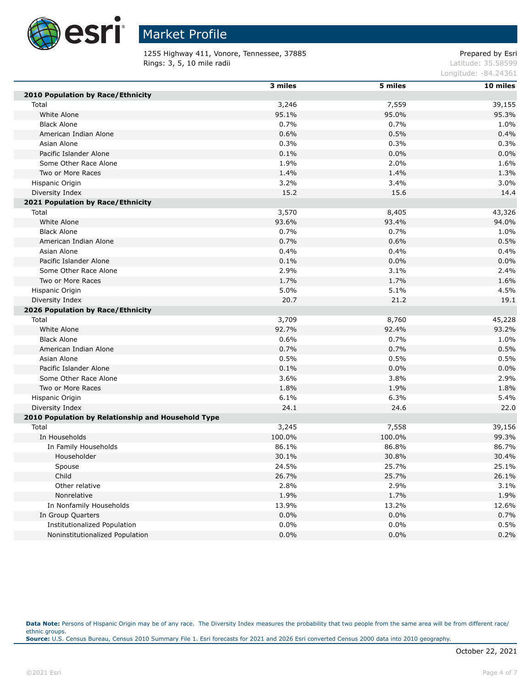

1255 Highway 411, Vonore, Tennessee, 37885 extending the prepared by Esri Rings: 3, 5, 10 mile radii and the contract of the contract of the contract of the contract of the contract of the contract of the contract of the contract of the contract of the contract of the contract of the contract of

Longitude: -84.24361

|                                                    | 3 miles | 5 miles | 10 miles |
|----------------------------------------------------|---------|---------|----------|
| 2010 Population by Race/Ethnicity                  |         |         |          |
| Total                                              | 3,246   | 7,559   | 39,155   |
| White Alone                                        | 95.1%   | 95.0%   | 95.3%    |
| <b>Black Alone</b>                                 | 0.7%    | 0.7%    | 1.0%     |
| American Indian Alone                              | 0.6%    | 0.5%    | 0.4%     |
| Asian Alone                                        | 0.3%    | 0.3%    | 0.3%     |
| Pacific Islander Alone                             | 0.1%    | 0.0%    | 0.0%     |
| Some Other Race Alone                              | 1.9%    | 2.0%    | 1.6%     |
| Two or More Races                                  | 1.4%    | 1.4%    | 1.3%     |
| Hispanic Origin                                    | 3.2%    | 3.4%    | 3.0%     |
| Diversity Index                                    | 15.2    | 15.6    | 14.4     |
| 2021 Population by Race/Ethnicity                  |         |         |          |
| Total                                              | 3,570   | 8,405   | 43,326   |
| White Alone                                        | 93.6%   | 93.4%   | 94.0%    |
| <b>Black Alone</b>                                 | 0.7%    | 0.7%    | 1.0%     |
| American Indian Alone                              | 0.7%    | 0.6%    | 0.5%     |
| Asian Alone                                        | 0.4%    | 0.4%    | 0.4%     |
| Pacific Islander Alone                             | 0.1%    | 0.0%    | 0.0%     |
| Some Other Race Alone                              | 2.9%    | 3.1%    | 2.4%     |
| Two or More Races                                  | 1.7%    | 1.7%    | 1.6%     |
| Hispanic Origin                                    | 5.0%    | 5.1%    | 4.5%     |
| Diversity Index                                    | 20.7    | 21.2    | 19.1     |
| 2026 Population by Race/Ethnicity                  |         |         |          |
| Total                                              | 3,709   | 8,760   | 45,228   |
| White Alone                                        | 92.7%   | 92.4%   | 93.2%    |
| <b>Black Alone</b>                                 | 0.6%    | 0.7%    | 1.0%     |
| American Indian Alone                              | 0.7%    | 0.7%    | 0.5%     |
| Asian Alone                                        | 0.5%    | 0.5%    | 0.5%     |
| Pacific Islander Alone                             | 0.1%    | 0.0%    | 0.0%     |
| Some Other Race Alone                              | 3.6%    | 3.8%    | 2.9%     |
| Two or More Races                                  | 1.8%    | 1.9%    | 1.8%     |
| Hispanic Origin                                    | 6.1%    | 6.3%    | 5.4%     |
| Diversity Index                                    | 24.1    | 24.6    | 22.0     |
| 2010 Population by Relationship and Household Type |         |         |          |
| Total                                              | 3,245   | 7,558   | 39,156   |
| In Households                                      | 100.0%  | 100.0%  | 99.3%    |
| In Family Households                               | 86.1%   | 86.8%   | 86.7%    |
| Householder                                        | 30.1%   | 30.8%   | 30.4%    |
| Spouse                                             | 24.5%   | 25.7%   | 25.1%    |
| Child                                              | 26.7%   | 25.7%   | 26.1%    |
| Other relative                                     | 2.8%    | 2.9%    | 3.1%     |
| Nonrelative                                        | 1.9%    | 1.7%    | 1.9%     |
| In Nonfamily Households                            | 13.9%   | 13.2%   | 12.6%    |
| In Group Quarters                                  | 0.0%    | 0.0%    | 0.7%     |
| Institutionalized Population                       | 0.0%    | 0.0%    | 0.5%     |
| Noninstitutionalized Population                    | 0.0%    | 0.0%    | 0.2%     |

Data Note: Persons of Hispanic Origin may be of any race. The Diversity Index measures the probability that two people from the same area will be from different race/ ethnic groups. **Source:** U.S. Census Bureau, Census 2010 Summary File 1. Esri forecasts for 2021 and 2026 Esri converted Census 2000 data into 2010 geography.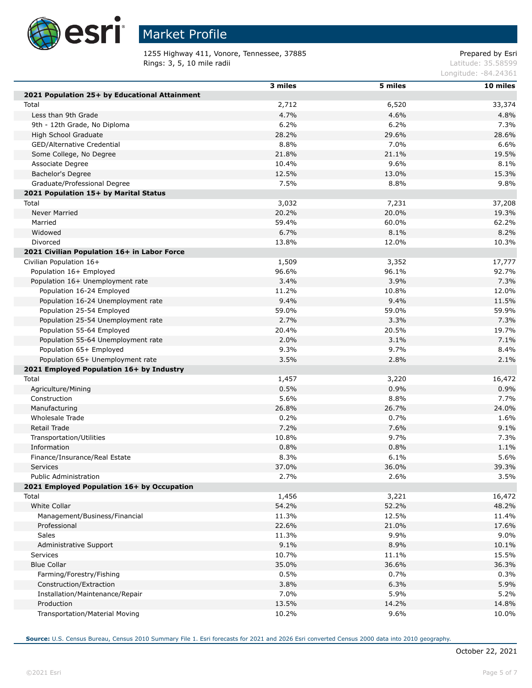

Г

Г

Г

## Market Profile

1255 Highway 411, Vonore, Tennessee, 37885 extending the prepared by Esri Rings: 3, 5, 10 mile radii and the contract of the contract of the contract of the contract of the contract of the contract of the contract of the contract of the contract of the contract of the contract of the contract of

Longitude: -84.24361

|                                               | 3 miles | 5 miles        | 10 miles |
|-----------------------------------------------|---------|----------------|----------|
| 2021 Population 25+ by Educational Attainment |         |                |          |
| Total                                         | 2,712   | 6,520          | 33,374   |
| Less than 9th Grade                           | 4.7%    | 4.6%           | 4.8%     |
| 9th - 12th Grade, No Diploma                  | 6.2%    | 6.2%           | 7.3%     |
| High School Graduate                          | 28.2%   | 29.6%          | 28.6%    |
| GED/Alternative Credential                    | 8.8%    | 7.0%           | 6.6%     |
| Some College, No Degree                       | 21.8%   | 21.1%          | 19.5%    |
| Associate Degree                              | 10.4%   | 9.6%           | 8.1%     |
| Bachelor's Degree                             | 12.5%   | 13.0%          | 15.3%    |
| Graduate/Professional Degree                  | 7.5%    | 8.8%           | 9.8%     |
|                                               |         |                |          |
| 2021 Population 15+ by Marital Status         |         |                |          |
| Total                                         | 3,032   | 7,231<br>20.0% | 37,208   |
| <b>Never Married</b>                          | 20.2%   |                | 19.3%    |
| Married                                       | 59.4%   | 60.0%          | 62.2%    |
| Widowed                                       | 6.7%    | 8.1%           | 8.2%     |
| Divorced                                      | 13.8%   | 12.0%          | 10.3%    |
| 2021 Civilian Population 16+ in Labor Force   |         |                |          |
| Civilian Population 16+                       | 1,509   | 3,352          | 17,777   |
| Population 16+ Employed                       | 96.6%   | 96.1%          | 92.7%    |
| Population 16+ Unemployment rate              | 3.4%    | 3.9%           | 7.3%     |
| Population 16-24 Employed                     | 11.2%   | 10.8%          | 12.0%    |
| Population 16-24 Unemployment rate            | 9.4%    | 9.4%           | 11.5%    |
| Population 25-54 Employed                     | 59.0%   | 59.0%          | 59.9%    |
| Population 25-54 Unemployment rate            | 2.7%    | 3.3%           | 7.3%     |
| Population 55-64 Employed                     | 20.4%   | 20.5%          | 19.7%    |
| Population 55-64 Unemployment rate            | 2.0%    | 3.1%           | 7.1%     |
| Population 65+ Employed                       | 9.3%    | 9.7%           | 8.4%     |
| Population 65+ Unemployment rate              | 3.5%    | 2.8%           | 2.1%     |
| 2021 Employed Population 16+ by Industry      |         |                |          |
| Total                                         | 1,457   | 3,220          | 16,472   |
| Agriculture/Mining                            | 0.5%    | 0.9%           | 0.9%     |
| Construction                                  | 5.6%    | 8.8%           | 7.7%     |
| Manufacturing                                 | 26.8%   | 26.7%          | 24.0%    |
| Wholesale Trade                               | 0.2%    | 0.7%           | 1.6%     |
| Retail Trade                                  | 7.2%    | 7.6%           | 9.1%     |
| Transportation/Utilities                      | 10.8%   | 9.7%           | 7.3%     |
| Information                                   | 0.8%    | 0.8%           | 1.1%     |
| Finance/Insurance/Real Estate                 | 8.3%    | 6.1%           | 5.6%     |
| Services                                      | 37.0%   | 36.0%          | 39.3%    |
| <b>Public Administration</b>                  | 2.7%    | 2.6%           | 3.5%     |
| 2021 Employed Population 16+ by Occupation    |         |                |          |
| Total                                         | 1,456   | 3,221          | 16,472   |
| White Collar                                  | 54.2%   | 52.2%          | 48.2%    |
| Management/Business/Financial                 | 11.3%   | 12.5%          | 11.4%    |
| Professional                                  | 22.6%   | 21.0%          | 17.6%    |
| Sales                                         | 11.3%   | 9.9%           | 9.0%     |
| Administrative Support                        | 9.1%    | 8.9%           | 10.1%    |
| <b>Services</b>                               | 10.7%   | 11.1%          | 15.5%    |
| <b>Blue Collar</b>                            | 35.0%   | 36.6%          | 36.3%    |
| Farming/Forestry/Fishing                      | 0.5%    | 0.7%           | 0.3%     |
| Construction/Extraction                       | 3.8%    | 6.3%           | 5.9%     |
| Installation/Maintenance/Repair               | 7.0%    | 5.9%           | 5.2%     |
| Production                                    | 13.5%   | 14.2%          | 14.8%    |
| Transportation/Material Moving                | 10.2%   | 9.6%           | 10.0%    |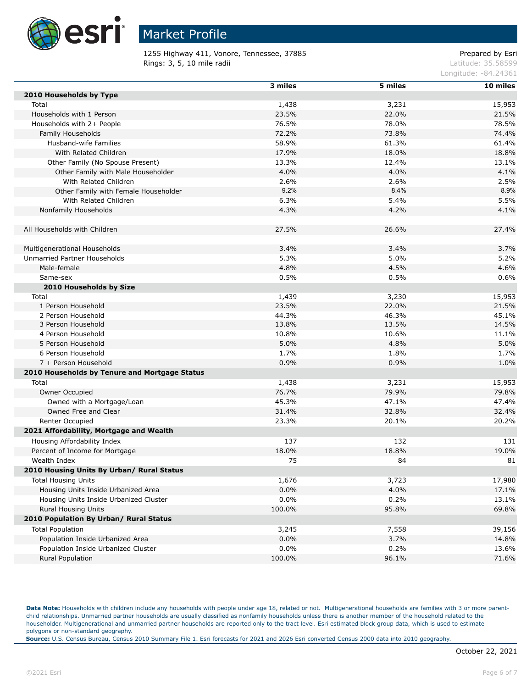

1255 Highway 411, Vonore, Tennessee, 37885 extending the prepared by Esri Rings: 3, 5, 10 mile radii and the contract of the contract of the contract of the contract of the contract of the contract of the contract of the contract of the contract of the contract of the contract of the contract of

Longitude: -84.24361

|                                               | 3 miles        | 5 miles        | 10 miles        |
|-----------------------------------------------|----------------|----------------|-----------------|
| 2010 Households by Type                       |                |                |                 |
| Total                                         | 1,438          | 3,231          | 15,953          |
| Households with 1 Person                      | 23.5%          | 22.0%          | 21.5%           |
| Households with 2+ People                     | 76.5%          | 78.0%          | 78.5%           |
| Family Households                             | 72.2%          | 73.8%          | 74.4%           |
| Husband-wife Families                         | 58.9%          | 61.3%          | 61.4%           |
| With Related Children                         | 17.9%          | 18.0%          | 18.8%           |
| Other Family (No Spouse Present)              | 13.3%          | 12.4%          | 13.1%           |
| Other Family with Male Householder            | 4.0%           | 4.0%           | 4.1%            |
| With Related Children                         | 2.6%           | 2.6%           | 2.5%            |
| Other Family with Female Householder          | 9.2%           | 8.4%           | 8.9%            |
| With Related Children                         | 6.3%           | 5.4%           | 5.5%            |
| Nonfamily Households                          | 4.3%           | 4.2%           | 4.1%            |
|                                               |                |                |                 |
| All Households with Children                  | 27.5%          | 26.6%          | 27.4%           |
|                                               |                |                |                 |
| Multigenerational Households                  | 3.4%           | 3.4%           | 3.7%            |
| Unmarried Partner Households                  | 5.3%           | 5.0%           | 5.2%            |
| Male-female                                   | 4.8%           | 4.5%           | 4.6%            |
| Same-sex                                      | 0.5%           | 0.5%           | 0.6%            |
|                                               |                |                |                 |
| 2010 Households by Size                       |                |                |                 |
| Total<br>1 Person Household                   | 1,439<br>23.5% | 3,230<br>22.0% | 15,953<br>21.5% |
| 2 Person Household                            | 44.3%          | 46.3%          | 45.1%           |
| 3 Person Household                            | 13.8%          | 13.5%          | 14.5%           |
| 4 Person Household                            | 10.8%          | 10.6%          | 11.1%           |
| 5 Person Household                            | 5.0%           | 4.8%           | 5.0%            |
| 6 Person Household                            | 1.7%           | 1.8%           | 1.7%            |
| 7 + Person Household                          | 0.9%           | 0.9%           | 1.0%            |
| 2010 Households by Tenure and Mortgage Status |                |                |                 |
|                                               |                |                |                 |
| Total                                         | 1,438          | 3,231          | 15,953          |
| Owner Occupied                                | 76.7%          | 79.9%          | 79.8%           |
| Owned with a Mortgage/Loan                    | 45.3%          | 47.1%          | 47.4%           |
| Owned Free and Clear                          | 31.4%          | 32.8%          | 32.4%           |
| Renter Occupied                               | 23.3%          | 20.1%          | 20.2%           |
| 2021 Affordability, Mortgage and Wealth       |                |                |                 |
| Housing Affordability Index                   | 137            | 132            | 131             |
| Percent of Income for Mortgage                | 18.0%          | 18.8%          | 19.0%           |
| Wealth Index                                  | 75             | 84             | 81              |
| 2010 Housing Units By Urban/ Rural Status     |                |                |                 |
| <b>Total Housing Units</b>                    | 1,676          | 3,723          | 17,980          |
| Housing Units Inside Urbanized Area           | 0.0%           | 4.0%           | 17.1%           |
| Housing Units Inside Urbanized Cluster        | 0.0%           | 0.2%           | 13.1%           |
| Rural Housing Units                           | 100.0%         | 95.8%          | 69.8%           |
| 2010 Population By Urban/ Rural Status        |                |                |                 |
| <b>Total Population</b>                       | 3,245          | 7,558          | 39,156          |
| Population Inside Urbanized Area              | 0.0%           | 3.7%           | 14.8%           |
| Population Inside Urbanized Cluster           | 0.0%           | 0.2%           | 13.6%           |
| <b>Rural Population</b>                       | 100.0%         | 96.1%          | 71.6%           |

Data Note: Households with children include any households with people under age 18, related or not. Multigenerational households are families with 3 or more parentchild relationships. Unmarried partner households are usually classified as nonfamily households unless there is another member of the household related to the householder. Multigenerational and unmarried partner households are reported only to the tract level. Esri estimated block group data, which is used to estimate polygons or non-standard geography.